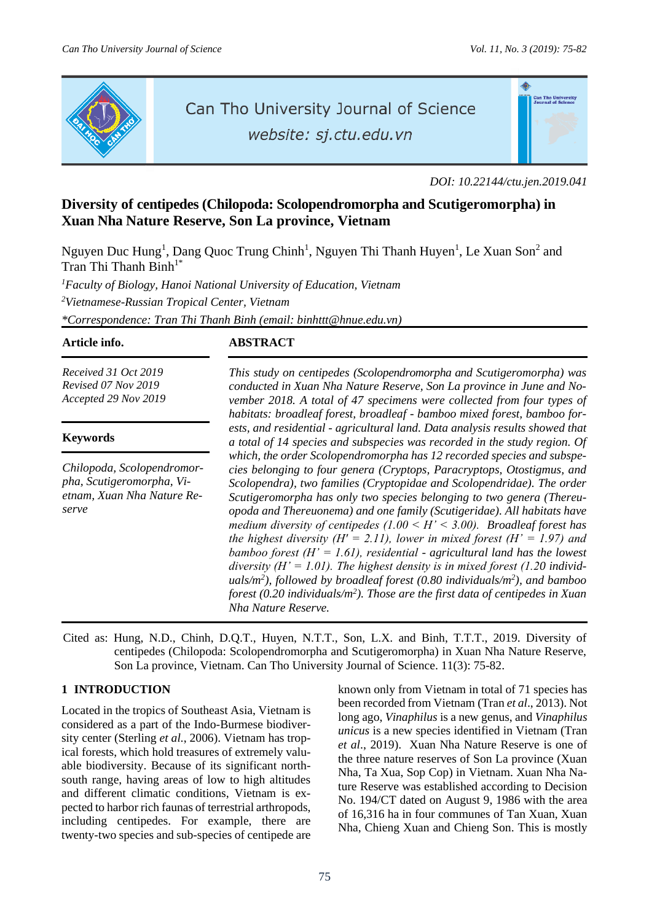

# Can Tho University Journal of Science

website: sj.ctu.edu.vn



*DOI: 10.22144/ctu.jen.2019.041*

# **Diversity of centipedes (Chilopoda: Scolopendromorpha and Scutigeromorpha) in Xuan Nha Nature Reserve, Son La province, Vietnam**

Nguyen Duc Hung<sup>1</sup>, Dang Quoc Trung Chinh<sup>1</sup>, Nguyen Thi Thanh Huyen<sup>1</sup>, Le Xuan Son<sup>2</sup> and Tran Thi Thanh  $\text{Binh}^{1*}$ 

*<sup>1</sup>Faculty of Biology, Hanoi National University of Education, Vietnam <sup>2</sup>Vietnamese-Russian Tropical Center, Vietnam \*Correspondence: Tran Thi Thanh Binh (email: binhttt@hnue.edu.vn)*

*Received 31 Oct 2019 Revised 07 Nov 2019 Accepted 29 Nov 2019*

# **Keywords**

*Chilopoda, Scolopendromorpha, Scutigeromorpha, Vietnam, Xuan Nha Nature Reserve*

# **Article info. ABSTRACT**

*This study on centipedes (Scolopendromorpha and Scutigeromorpha) was conducted in Xuan Nha Nature Reserve, Son La province in June and November 2018. A total of 47 specimens were collected from four types of habitats: broadleaf forest, broadleaf - bamboo mixed forest, bamboo forests, and residential - agricultural land. Data analysis results showed that a total of 14 species and subspecies was recorded in the study region. Of which, the order Scolopendromorpha has 12 recorded species and subspecies belonging to four genera (Cryptops, Paracryptops, Otostigmus, and Scolopendra), two families (Cryptopidae and Scolopendridae). The order Scutigeromorpha has only two species belonging to two genera (Thereuopoda and Thereuonema) and one family (Scutigeridae). All habitats have medium diversity of centipedes (1.00 < H' < 3.00). Broadleaf forest has the highest diversity (H' = 2.11), lower in mixed forest (H' = 1.97) and bamboo forest (H' = 1.61), residential - agricultural land has the lowest diversity (H' = 1.01). The highest density is in mixed forest (1.20 individuals/m<sup>2</sup> ), followed by broadleaf forest (0.80 individuals/m<sup>2</sup> ), and bamboo forest (0.20 individuals/m<sup>2</sup> ). Those are the first data of centipedes in Xuan Nha Nature Reserve.*

Cited as: Hung, N.D., Chinh, D.Q.T., Huyen, N.T.T., Son, L.X. and Binh, T.T.T., 2019. Diversity of centipedes (Chilopoda: Scolopendromorpha and Scutigeromorpha) in Xuan Nha Nature Reserve, Son La province, Vietnam. Can Tho University Journal of Science. 11(3): 75-82.

# **1 INTRODUCTION**

Located in the tropics of Southeast Asia, Vietnam is considered as a part of the Indo-Burmese biodiversity center (Sterling *et al.*, 2006). Vietnam has tropical forests, which hold treasures of extremely valuable biodiversity. Because of its significant northsouth range, having areas of low to high altitudes and different climatic conditions, Vietnam is expected to harbor rich faunas of terrestrial arthropods, including centipedes. For example, there are twenty-two species and sub-species of centipede are known only from Vietnam in total of 71 species has been recorded from Vietnam (Tran *et al*., 2013). Not long ago, *Vinaphilus* is a new genus, and *Vinaphilus unicus* is a new species identified in Vietnam (Tran *et al*., 2019). Xuan Nha Nature Reserve is one of the three nature reserves of Son La province (Xuan Nha, Ta Xua, Sop Cop) in Vietnam. Xuan Nha Nature Reserve was established according to Decision No. 194/CT dated on August 9, 1986 with the area of 16,316 ha in four communes of Tan Xuan, Xuan Nha, Chieng Xuan and Chieng Son. This is mostly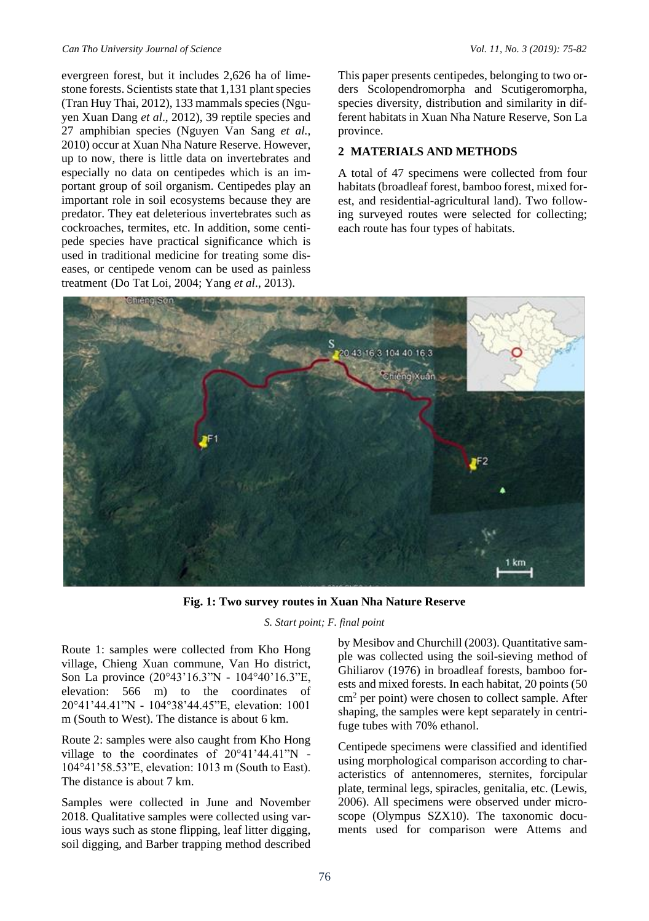#### *Can Tho University Journal of Science Vol. 11, No. 3 (2019): 75-82*

evergreen forest, but it includes 2,626 ha of limestone forests. Scientists state that 1,131 plant species (Tran Huy Thai, 2012), 133 mammals species (Nguyen Xuan Dang *et al*., 2012), 39 reptile species and 27 amphibian species (Nguyen Van Sang *et al.,* 2010) occur at Xuan Nha Nature Reserve. However, up to now, there is little data on invertebrates and especially no data on centipedes which is an important group of soil organism. Centipedes play an important role in soil ecosystems because they are predator. They eat deleterious invertebrates such as cockroaches, termites, etc. In addition, some centipede species have practical significance which is used in traditional medicine for treating some diseases, or centipede venom can be used as painless treatment (Do Tat Loi, 2004; Yang *et al*., 2013).

This paper presents centipedes, belonging to two orders Scolopendromorpha and Scutigeromorpha, species diversity, distribution and similarity in different habitats in Xuan Nha Nature Reserve, Son La province.

#### **2 MATERIALS AND METHODS**

A total of 47 specimens were collected from four habitats (broadleaf forest, bamboo forest, mixed forest, and residential-agricultural land). Two following surveyed routes were selected for collecting; each route has four types of habitats.



**Fig. 1: Two survey routes in Xuan Nha Nature Reserve**

*S. Start point; F. final point*

Route 1: samples were collected from Kho Hong village, Chieng Xuan commune, Van Ho district, Son La province (20°43'16.3"N - 104°40'16.3"E, elevation: 566 m) to the coordinates of 20°41'44.41"N - 104°38'44.45"E, elevation: 1001 m (South to West). The distance is about 6 km.

Route 2: samples were also caught from Kho Hong village to the coordinates of 20°41'44.41"N - 104°41'58.53"E, elevation: 1013 m (South to East). The distance is about 7 km.

Samples were collected in June and November 2018. Qualitative samples were collected using various ways such as stone flipping, leaf litter digging, soil digging, and Barber trapping method described

by Mesibov and Churchill (2003). Quantitative sample was collected using the soil-sieving method of Ghiliarov (1976) in broadleaf forests, bamboo forests and mixed forests. In each habitat, 20 points (50 cm<sup>2</sup> per point) were chosen to collect sample. After shaping, the samples were kept separately in centrifuge tubes with 70% ethanol.

Centipede specimens were classified and identified using morphological comparison according to characteristics of antennomeres, sternites, forcipular plate, terminal legs, spiracles, genitalia, etc. (Lewis, 2006). All specimens were observed under microscope (Olympus SZX10). The taxonomic documents used for comparison were Attems and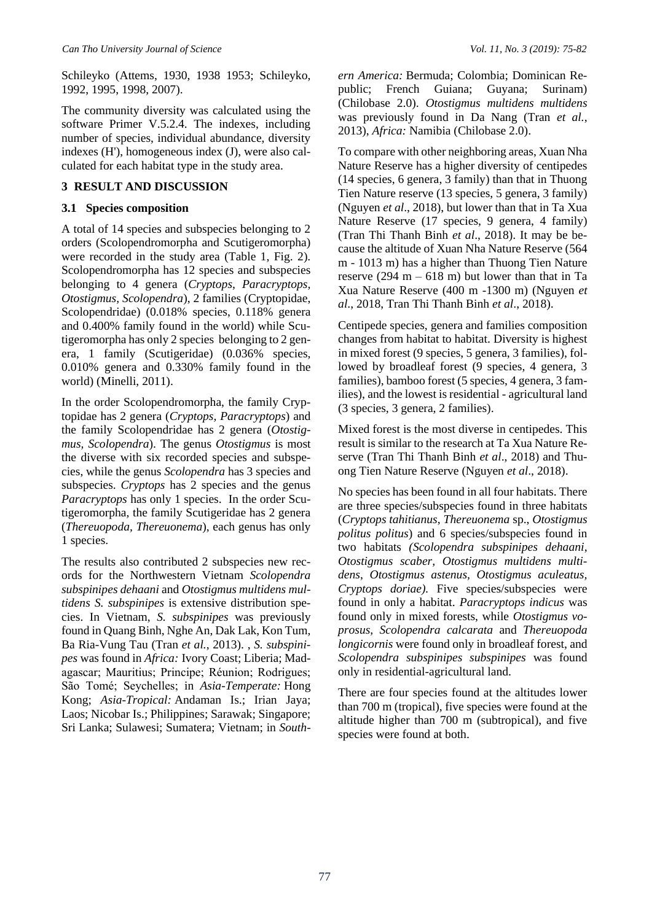Schileyko (Attems, 1930, 1938 1953; Schileyko, 1992, 1995, 1998, 2007).

The community diversity was calculated using the software Primer V.5.2.4. The indexes, including number of species, individual abundance, diversity indexes (H'), homogeneous index (J), were also calculated for each habitat type in the study area.

### **3 RESULT AND DISCUSSION**

#### **3.1 Species composition**

A total of 14 species and subspecies belonging to 2 orders (Scolopendromorpha and Scutigeromorpha) were recorded in the study area (Table 1, Fig. 2). Scolopendromorpha has 12 species and subspecies belonging to 4 genera (*Cryptops, Paracryptops, Otostigmus, Scolopendra*), 2 families (Cryptopidae, Scolopendridae) (0.018% species, 0.118% genera and 0.400% family found in the world) while Scutigeromorpha has only 2 species belonging to 2 genera, 1 family (Scutigeridae) (0.036% species, 0.010% genera and 0.330% family found in the world) (Minelli, 2011).

In the order Scolopendromorpha, the family Cryptopidae has 2 genera (*Cryptops, Paracryptops*) and the family Scolopendridae has 2 genera (*Otostigmus, Scolopendra*). The genus *Otostigmus* is most the diverse with six recorded species and subspecies, while the genus *Scolopendra* has 3 species and subspecies. *Cryptops* has 2 species and the genus *Paracryptops* has only 1 species. In the order Scutigeromorpha, the family Scutigeridae has 2 genera (*Thereuopoda, Thereuonema*), each genus has only 1 species.

The results also contributed 2 subspecies new records for the Northwestern Vietnam *Scolopendra subspinipes dehaani* and *Otostigmus multidens multidens S. subspinipes* is extensive distribution species. In Vietnam, *S. subspinipes* was previously found in Quang Binh, Nghe An, Dak Lak, Kon Tum, Ba Ria-Vung Tau (Tran *et al.*, 2013). , *S. subspinipes* was found in *Africa:* Ivory Coast; Liberia; Madagascar; Mauritius; Principe; Réunion; Rodrigues; São Tomé; Seychelles; in *Asia-Temperate:* Hong Kong; *Asia-Tropical:* Andaman Is.; Irian Jaya; Laos; Nicobar Is.; Philippines; Sarawak; Singapore; Sri Lanka; Sulawesi; Sumatera; Vietnam; in *South-* *ern America:* Bermuda; Colombia; Dominican Republic; French Guiana; Guyana; Surinam) (Chilobase 2.0). *Otostigmus multidens multidens* was previously found in Da Nang (Tran *et al.*, 2013), *Africa:* Namibia (Chilobase 2.0).

To compare with other neighboring areas, Xuan Nha Nature Reserve has a higher diversity of centipedes (14 species, 6 genera, 3 family) than that in Thuong Tien Nature reserve (13 species, 5 genera, 3 family) (Nguyen *et al*., 2018), but lower than that in Ta Xua Nature Reserve (17 species, 9 genera, 4 family) (Tran Thi Thanh Binh *et al*., 2018). It may be because the altitude of Xuan Nha Nature Reserve (564 m - 1013 m) has a higher than Thuong Tien Nature reserve  $(294 \text{ m} - 618 \text{ m})$  but lower than that in Ta Xua Nature Reserve (400 m -1300 m) (Nguyen *et al*., 2018, Tran Thi Thanh Binh *et al*., 2018).

Centipede species, genera and families composition changes from habitat to habitat. Diversity is highest in mixed forest (9 species, 5 genera, 3 families), followed by broadleaf forest (9 species, 4 genera, 3 families), bamboo forest (5 species, 4 genera, 3 families), and the lowest is residential - agricultural land (3 species, 3 genera, 2 families).

Mixed forest is the most diverse in centipedes. This result is similar to the research at Ta Xua Nature Reserve (Tran Thi Thanh Binh *et al*., 2018) and Thuong Tien Nature Reserve (Nguyen *et al*., 2018).

No species has been found in all four habitats. There are three species/subspecies found in three habitats (*Cryptops tahitianus*, *Thereuonema* sp., *Otostigmus politus politus*) and 6 species/subspecies found in two habitats *(Scolopendra subspinipes dehaani*, *Otostigmus scaber, Otostigmus multidens multidens*, *Otostigmus astenus, Otostigmus aculeatus, Cryptops doriae).* Five species/subspecies were found in only a habitat. *Paracryptops indicus* was found only in mixed forests, while *Otostigmus voprosus, Scolopendra calcarata* and *Thereuopoda longicornis* were found only in broadleaf forest, and *Scolopendra subspinipes subspinipes* was found only in residential-agricultural land.

There are four species found at the altitudes lower than 700 m (tropical), five species were found at the altitude higher than 700 m (subtropical), and five species were found at both.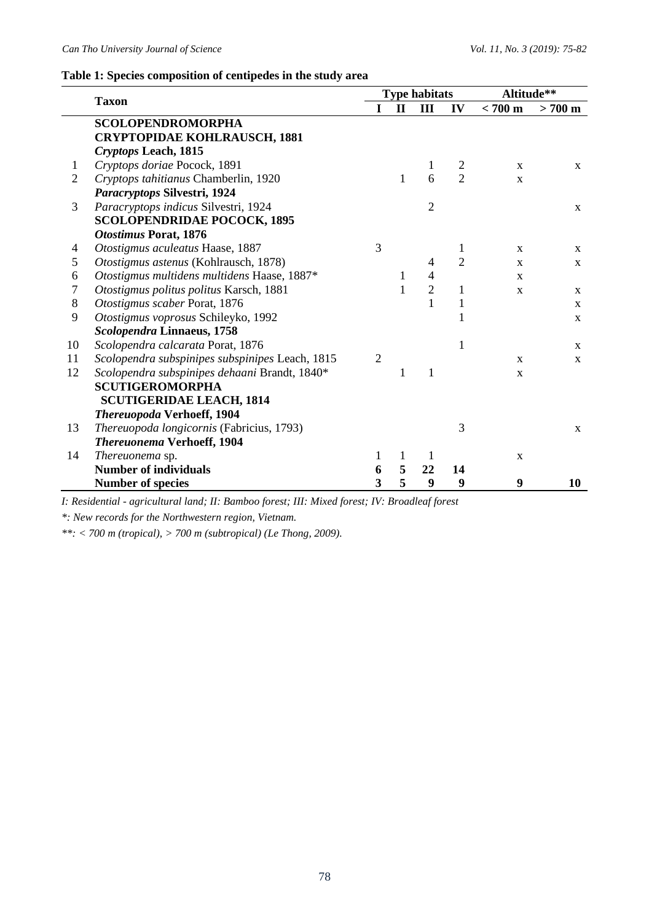# **Table 1: Species composition of centipedes in the study area**

|         | <b>Taxon</b>                                    |                | <b>Type habitats</b> |                |                | Altitude**        |                   |
|---------|-------------------------------------------------|----------------|----------------------|----------------|----------------|-------------------|-------------------|
|         |                                                 |                | $\mathbf{I}$         | Ш              | IV             | $< 700 \text{ m}$ | $>700~\mathrm{m}$ |
|         | <b>SCOLOPENDROMORPHA</b>                        |                |                      |                |                |                   |                   |
|         | <b>CRYPTOPIDAE KOHLRAUSCH, 1881</b>             |                |                      |                |                |                   |                   |
|         | Cryptops Leach, 1815                            |                |                      |                |                |                   |                   |
| 1       | Cryptops doriae Pocock, 1891                    |                |                      | 1              | 2              | X                 | X                 |
| 2       | Cryptops tahitianus Chamberlin, 1920            |                | $\mathbf{1}$         | 6              | $\overline{2}$ | X                 |                   |
|         | Paracryptops Silvestri, 1924                    |                |                      |                |                |                   |                   |
| 3       | Paracryptops indicus Silvestri, 1924            |                |                      | $\overline{2}$ |                |                   | X                 |
|         | <b>SCOLOPENDRIDAE POCOCK, 1895</b>              |                |                      |                |                |                   |                   |
|         | Otostimus Porat, 1876                           |                |                      |                |                |                   |                   |
| 4       | Otostigmus aculeatus Haase, 1887                | 3              |                      |                | 1              | X                 | X                 |
| 5       | Otostigmus astenus (Kohlrausch, 1878)           |                |                      | 4              | $\overline{2}$ | X                 | X                 |
| 6       | Otostigmus multidens multidens Haase, 1887*     |                | 1                    | 4              |                | X                 |                   |
| 7       | Otostigmus politus politus Karsch, 1881         |                | $\mathbf{1}$         | $\mathbf{2}$   | 1              | X                 | X                 |
| $\,8\,$ | Otostigmus scaber Porat, 1876                   |                |                      | $\mathbf{1}$   | $\mathbf{1}$   |                   | X                 |
| 9       | Otostigmus voprosus Schileyko, 1992             |                |                      |                | 1              |                   | X                 |
|         | Scolopendra Linnaeus, 1758                      |                |                      |                |                |                   |                   |
| 10      | Scolopendra calcarata Porat, 1876               |                |                      |                | 1              |                   | X                 |
| 11      | Scolopendra subspinipes subspinipes Leach, 1815 | $\overline{2}$ |                      |                |                | X                 | X                 |
| 12      | Scolopendra subspinipes dehaani Brandt, 1840*   |                | 1                    | 1              |                | X                 |                   |
|         | <b>SCUTIGEROMORPHA</b>                          |                |                      |                |                |                   |                   |
|         | <b>SCUTIGERIDAE LEACH, 1814</b>                 |                |                      |                |                |                   |                   |
|         | Thereuopoda Verhoeff, 1904                      |                |                      |                |                |                   |                   |
| 13      | Thereuopoda longicornis (Fabricius, 1793)       |                |                      |                | 3              |                   | X                 |
|         | Thereuonema Verhoeff, 1904                      |                |                      |                |                |                   |                   |
| 14      | Thereuonema sp.                                 | 1              | 1                    | 1              |                | $\mathbf X$       |                   |
|         | <b>Number of individuals</b>                    | 6              | 5                    | 22             | 14             |                   |                   |
|         | <b>Number of species</b>                        | 3              | 5                    | 9              | 9              | 9                 | 10                |

*I: Residential - agricultural land; II: Bamboo forest; III: Mixed forest; IV: Broadleaf forest*

*\*: New records for the Northwestern region, Vietnam.* 

*\*\*: < 700 m (tropical), > 700 m (subtropical) (Le Thong, 2009).*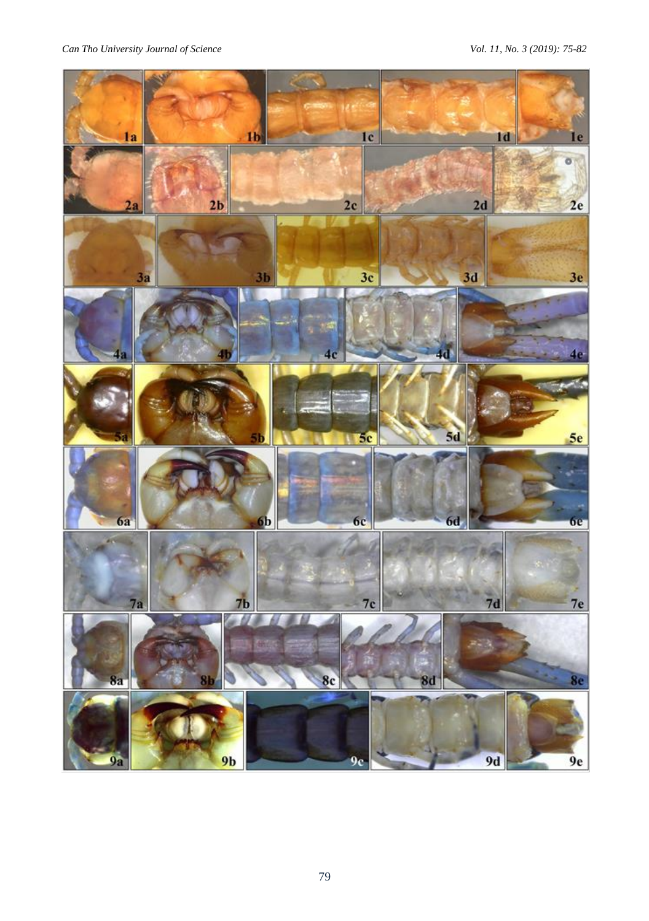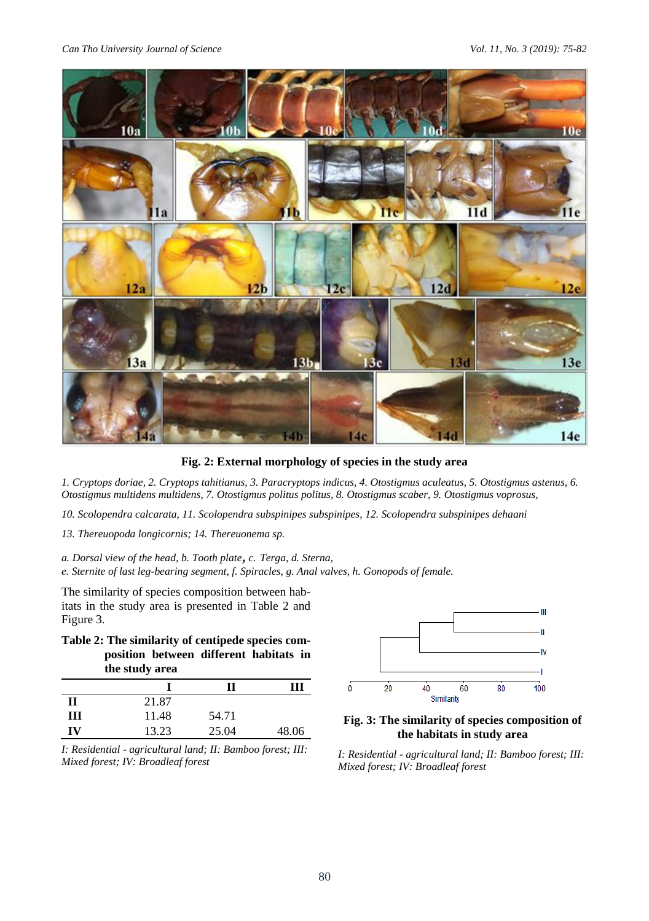*Can Tho University Journal of Science Vol. 11, No. 3 (2019): 75-82*



**Fig. 2: External morphology of species in the study area**

*1. Cryptops doriae, 2. Cryptops tahitianus, 3. Paracryptops indicus, 4. Otostigmus aculeatus, 5. Otostigmus astenus, 6. Otostigmus multidens multidens, 7. Otostigmus politus politus, 8. Otostigmus scaber, 9. Otostigmus voprosus,* 

*10. Scolopendra calcarata, 11. Scolopendra subspinipes subspinipes, 12. Scolopendra subspinipes dehaani*

*13. Thereuopoda longicornis; 14. Thereuonema sp.* 

*a. Dorsal view of the head, b. Tooth plate, c. Terga, d. Sterna,*

*e. Sternite of last leg-bearing segment, f. Spiracles, g. Anal valves, h. Gonopods of female.*

The similarity of species composition between habitats in the study area is presented in Table 2 and Figure 3.

| Table 2: The similarity of centipede species com- |                |  |                                        |  |  |  |  |  |
|---------------------------------------------------|----------------|--|----------------------------------------|--|--|--|--|--|
|                                                   |                |  | position between different habitats in |  |  |  |  |  |
|                                                   | the study area |  |                                        |  |  |  |  |  |

|    |       | Н     | ш     |
|----|-------|-------|-------|
| п  | 21.87 |       |       |
| ш  | 11.48 | 54.71 |       |
| (V | 13.23 | 25.04 | 48.06 |

*I: Residential - agricultural land; II: Bamboo forest; III: Mixed forest; IV: Broadleaf forest* 



#### **Fig. 3: The similarity of species composition of the habitats in study area**

*I: Residential - agricultural land; II: Bamboo forest; III: Mixed forest; IV: Broadleaf forest*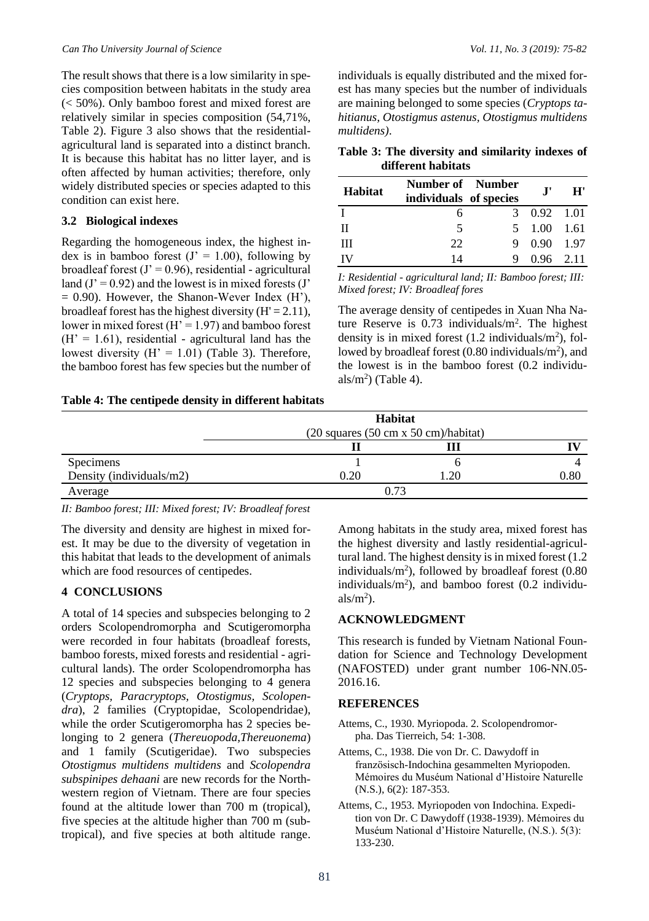The result shows that there is a low similarity in species composition between habitats in the study area (< 50%). Only bamboo forest and mixed forest are relatively similar in species composition (54,71%, Table 2). Figure 3 also shows that the residentialagricultural land is separated into a distinct branch. It is because this habitat has no litter layer, and is often affected by human activities; therefore, only widely distributed species or species adapted to this condition can exist here.

## **3.2 Biological indexes**

Regarding the homogeneous index, the highest index is in bamboo forest  $(J' = 1.00)$ , following by broadleaf forest  $(J' = 0.96)$ , residential - agricultural land  $(J' = 0.92)$  and the lowest is in mixed forests  $(J'')$  $= 0.90$ ). However, the Shanon-Wever Index (H'), broadleaf forest has the highest diversity  $(H' = 2.11)$ , lower in mixed forest  $(H' = 1.97)$  and bamboo forest  $(H' = 1.61)$ , residential - agricultural land has the lowest diversity  $(H' = 1.01)$  (Table 3). Therefore, the bamboo forest has few species but the number of individuals is equally distributed and the mixed forest has many species but the number of individuals are maining belonged to some species (*Cryptops tahitianus, Otostigmus astenus, Otostigmus multidens multidens)*.

| Table 3: The diversity and similarity indexes of |  |  |
|--------------------------------------------------|--|--|
| different habitats                               |  |  |

| <b>Habitat</b> | Number of Number<br>individuals of species |               | T'.               | H' |
|----------------|--------------------------------------------|---------------|-------------------|----|
| $\mathbf I$    | 6                                          | $\mathcal{R}$ | $0.92 \quad 1.01$ |    |
| П              | 5                                          |               | 5 1.00 1.61       |    |
| Ш              | 22                                         | 9             | $0.90 \quad 1.97$ |    |
| <b>IV</b>      | 14                                         | 9             | $0.96$ 2.11       |    |

*I: Residential - agricultural land; II: Bamboo forest; III: Mixed forest; IV: Broadleaf fores*

The average density of centipedes in Xuan Nha Nature Reserve is  $0.73$  individuals/ $m<sup>2</sup>$ . The highest density is in mixed forest  $(1.2 \text{ individuals/m}^2)$ , followed by broadleaf forest (0.80 individuals/m<sup>2</sup>), and the lowest is in the bamboo forest (0.2 individuals/m<sup>2</sup>) (Table 4).

#### **Table 4: The centipede density in different habitats**

|                          | <b>Habitat</b>                                                          |      |          |  |
|--------------------------|-------------------------------------------------------------------------|------|----------|--|
|                          | $(20 \text{ squares } (50 \text{ cm } x 50 \text{ cm})/\text{habitat})$ |      |          |  |
|                          |                                                                         |      |          |  |
| Specimens                |                                                                         |      |          |  |
| Density (individuals/m2) | 0.20                                                                    | 20   | $0.80\,$ |  |
| Average                  |                                                                         | በ 73 |          |  |

*II: Bamboo forest; III: Mixed forest; IV: Broadleaf forest*

The diversity and density are highest in mixed forest. It may be due to the diversity of vegetation in this habitat that leads to the development of animals which are food resources of centipedes.

# **4 CONCLUSIONS**

A total of 14 species and subspecies belonging to 2 orders Scolopendromorpha and Scutigeromorpha were recorded in four habitats (broadleaf forests, bamboo forests, mixed forests and residential - agricultural lands). The order Scolopendromorpha has 12 species and subspecies belonging to 4 genera (*Cryptops, Paracryptops, Otostigmus, Scolopendra*), 2 families (Cryptopidae, Scolopendridae), while the order Scutigeromorpha has 2 species belonging to 2 genera (*Thereuopoda,Thereuonema*) and 1 family (Scutigeridae). Two subspecies *Otostigmus multidens multidens* and *Scolopendra subspinipes dehaani* are new records for the Northwestern region of Vietnam. There are four species found at the altitude lower than 700 m (tropical), five species at the altitude higher than 700 m (subtropical), and five species at both altitude range.

Among habitats in the study area, mixed forest has the highest diversity and lastly residential-agricultural land. The highest density is in mixed forest (1.2 individuals/m<sup>2</sup> ), followed by broadleaf forest (0.80 individuals/ $m<sup>2</sup>$ ), and bamboo forest (0.2 individuals/ $m^2$ ).

# **ACKNOWLEDGMENT**

This research is funded by Vietnam National Foundation for Science and Technology Development (NAFOSTED) under grant number 106-NN.05- 2016.16.

#### **REFERENCES**

- Attems, C., 1930. Myriopoda. 2. Scolopendromorpha. Das Tierreich, 54: 1-308.
- Attems, C., 1938. Die von Dr. C. Dawydoff in französisch-Indochina gesammelten Myriopoden. Mémoires du Muséum National d'Histoire Naturelle (N.S.), 6(2): 187-353.
- Attems, C., 1953. Myriopoden von Indochina. Expedition von Dr. C Dawydoff (1938-1939). Mémoires du Muséum National d'Histoire Naturelle, (N.S.). 5(3): 133-230.